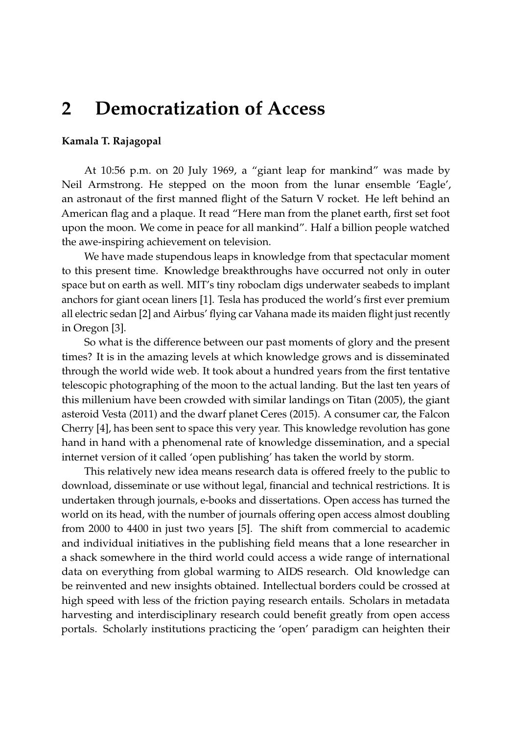## **2 Democratization of Access**

## **Kamala T. Rajagopal**

At 10:56 p.m. on 20 July 1969, a "giant leap for mankind" was made by Neil Armstrong. He stepped on the moon from the lunar ensemble 'Eagle', an astronaut of the first manned flight of the Saturn V rocket. He left behind an American flag and a plaque. It read "Here man from the planet earth, first set foot upon the moon. We come in peace for all mankind". Half a billion people watched the awe-inspiring achievement on television.

We have made stupendous leaps in knowledge from that spectacular moment to this present time. Knowledge breakthroughs have occurred not only in outer space but on earth as well. MIT's tiny roboclam digs underwater seabeds to implant anchors for giant ocean liners [\[1\]](#page-2-0). Tesla has produced the world's first ever premium all electric sedan [\[2\]](#page-2-1) and Airbus' flying car Vahana made its maiden flight just recently in Oregon [\[3\]](#page-2-2).

So what is the difference between our past moments of glory and the present times? It is in the amazing levels at which knowledge grows and is disseminated through the world wide web. It took about a hundred years from the first tentative telescopic photographing of the moon to the actual landing. But the last ten years of this millenium have been crowded with similar landings on Titan (2005), the giant asteroid Vesta (2011) and the dwarf planet Ceres (2015). A consumer car, the Falcon Cherry [\[4\]](#page-2-3), has been sent to space this very year. This knowledge revolution has gone hand in hand with a phenomenal rate of knowledge dissemination, and a special internet version of it called 'open publishing' has taken the world by storm.

This relatively new idea means research data is offered freely to the public to download, disseminate or use without legal, financial and technical restrictions. It is undertaken through journals, e-books and dissertations. Open access has turned the world on its head, with the number of journals offering open access almost doubling from 2000 to 4400 in just two years [\[5\]](#page-2-4). The shift from commercial to academic and individual initiatives in the publishing field means that a lone researcher in a shack somewhere in the third world could access a wide range of international data on everything from global warming to AIDS research. Old knowledge can be reinvented and new insights obtained. Intellectual borders could be crossed at high speed with less of the friction paying research entails. Scholars in metadata harvesting and interdisciplinary research could benefit greatly from open access portals. Scholarly institutions practicing the 'open' paradigm can heighten their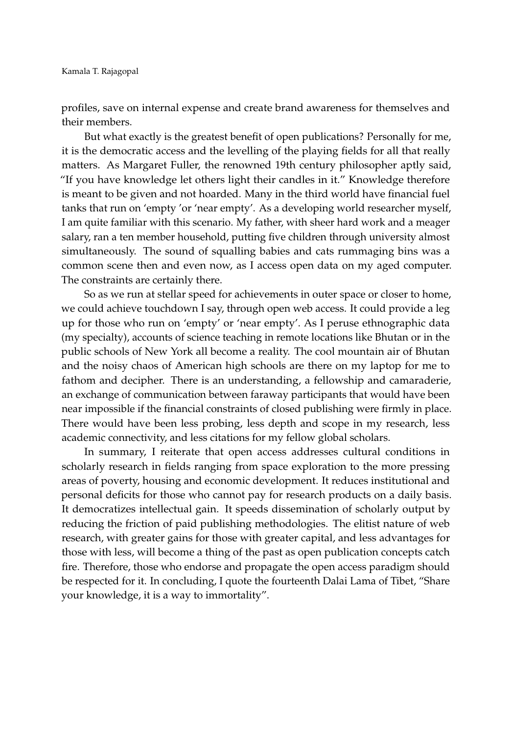profiles, save on internal expense and create brand awareness for themselves and their members.

But what exactly is the greatest benefit of open publications? Personally for me, it is the democratic access and the levelling of the playing fields for all that really matters. As Margaret Fuller, the renowned 19th century philosopher aptly said, "If you have knowledge let others light their candles in it." Knowledge therefore is meant to be given and not hoarded. Many in the third world have financial fuel tanks that run on 'empty 'or 'near empty'. As a developing world researcher myself, I am quite familiar with this scenario. My father, with sheer hard work and a meager salary, ran a ten member household, putting five children through university almost simultaneously. The sound of squalling babies and cats rummaging bins was a common scene then and even now, as I access open data on my aged computer. The constraints are certainly there.

So as we run at stellar speed for achievements in outer space or closer to home, we could achieve touchdown I say, through open web access. It could provide a leg up for those who run on 'empty' or 'near empty'. As I peruse ethnographic data (my specialty), accounts of science teaching in remote locations like Bhutan or in the public schools of New York all become a reality. The cool mountain air of Bhutan and the noisy chaos of American high schools are there on my laptop for me to fathom and decipher. There is an understanding, a fellowship and camaraderie, an exchange of communication between faraway participants that would have been near impossible if the financial constraints of closed publishing were firmly in place. There would have been less probing, less depth and scope in my research, less academic connectivity, and less citations for my fellow global scholars.

In summary, I reiterate that open access addresses cultural conditions in scholarly research in fields ranging from space exploration to the more pressing areas of poverty, housing and economic development. It reduces institutional and personal deficits for those who cannot pay for research products on a daily basis. It democratizes intellectual gain. It speeds dissemination of scholarly output by reducing the friction of paid publishing methodologies. The elitist nature of web research, with greater gains for those with greater capital, and less advantages for those with less, will become a thing of the past as open publication concepts catch fire. Therefore, those who endorse and propagate the open access paradigm should be respected for it. In concluding, I quote the fourteenth Dalai Lama of Tibet, "Share your knowledge, it is a way to immortality".